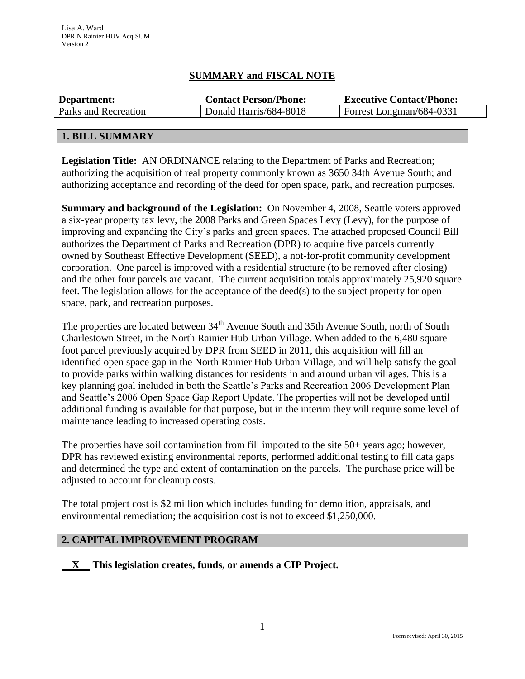## **SUMMARY and FISCAL NOTE**

| Department:          | <b>Contact Person/Phone:</b> | <b>Executive Contact/Phone:</b> |  |  |
|----------------------|------------------------------|---------------------------------|--|--|
| Parks and Recreation | Donald Harris/684-8018       | Forrest Longman/684-0331        |  |  |
|                      |                              |                                 |  |  |

## **1. BILL SUMMARY**

**Legislation Title:** AN ORDINANCE relating to the Department of Parks and Recreation; authorizing the acquisition of real property commonly known as 3650 34th Avenue South; and authorizing acceptance and recording of the deed for open space, park, and recreation purposes.

**Summary and background of the Legislation:** On November 4, 2008, Seattle voters approved a six-year property tax levy, the 2008 Parks and Green Spaces Levy (Levy), for the purpose of improving and expanding the City's parks and green spaces. The attached proposed Council Bill authorizes the Department of Parks and Recreation (DPR) to acquire five parcels currently owned by Southeast Effective Development (SEED), a not-for-profit community development corporation. One parcel is improved with a residential structure (to be removed after closing) and the other four parcels are vacant. The current acquisition totals approximately 25,920 square feet. The legislation allows for the acceptance of the deed(s) to the subject property for open space, park, and recreation purposes.

The properties are located between 34<sup>th</sup> Avenue South and 35th Avenue South, north of South Charlestown Street, in the North Rainier Hub Urban Village. When added to the 6,480 square foot parcel previously acquired by DPR from SEED in 2011, this acquisition will fill an identified open space gap in the North Rainier Hub Urban Village, and will help satisfy the goal to provide parks within walking distances for residents in and around urban villages. This is a key planning goal included in both the Seattle's Parks and Recreation 2006 Development Plan and Seattle's 2006 Open Space Gap Report Update. The properties will not be developed until additional funding is available for that purpose, but in the interim they will require some level of maintenance leading to increased operating costs.

The properties have soil contamination from fill imported to the site 50+ years ago; however, DPR has reviewed existing environmental reports, performed additional testing to fill data gaps and determined the type and extent of contamination on the parcels. The purchase price will be adjusted to account for cleanup costs.

The total project cost is \$2 million which includes funding for demolition, appraisals, and environmental remediation; the acquisition cost is not to exceed \$1,250,000.

## **2. CAPITAL IMPROVEMENT PROGRAM**

**\_\_X\_\_ This legislation creates, funds, or amends a CIP Project.**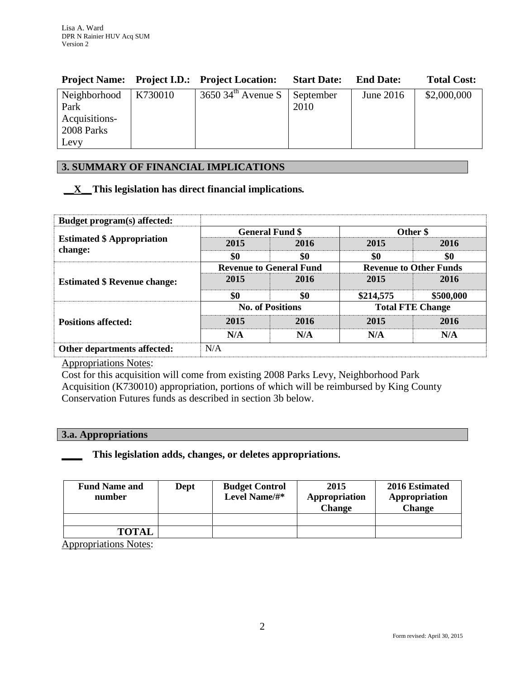|                                      | <b>Project Name:</b> Project I.D.: Project Location: | <b>Start Date:</b> | <b>End Date:</b> | <b>Total Cost:</b> |
|--------------------------------------|------------------------------------------------------|--------------------|------------------|--------------------|
| $\vert$ Neighborhood $\vert$ K730010 | $3650$ 34 <sup>th</sup> Avenue S   September         |                    | June $2016$      | \$2,000,000        |
| Park                                 |                                                      | 2010               |                  |                    |
| Acquisitions-                        |                                                      |                    |                  |                    |
| 2008 Parks                           |                                                      |                    |                  |                    |
| Levy                                 |                                                      |                    |                  |                    |

# **3. SUMMARY OF FINANCIAL IMPLICATIONS**

## **\_\_X\_\_This legislation has direct financial implications***.*

| Budget program(s) affected:         |                                |      |                               |           |  |
|-------------------------------------|--------------------------------|------|-------------------------------|-----------|--|
| <b>Estimated \$ Appropriation</b>   | <b>General Fund \$</b>         |      | Other \$                      |           |  |
|                                     | 2015                           | 2016 | 2015                          | 2016      |  |
| change:                             | \$0                            | \$0  | \$0                           | \$0       |  |
| <b>Estimated \$ Revenue change:</b> | <b>Revenue to General Fund</b> |      | <b>Revenue to Other Funds</b> |           |  |
|                                     | 2015                           | 2016 | 2015                          | 2016      |  |
|                                     | \$0                            | \$0  | \$214,575                     | \$500,000 |  |
|                                     | <b>No. of Positions</b>        |      | <b>Total FTE Change</b>       |           |  |
| <b>Positions affected:</b>          | 2015                           | 2016 | 2015                          | 2016      |  |
|                                     | N/A                            | N/A  | N/A                           | N/A       |  |
| Other departments affected:         | N/A                            |      |                               |           |  |

Appropriations Notes:

Cost for this acquisition will come from existing 2008 Parks Levy, Neighborhood Park Acquisition (K730010) appropriation, portions of which will be reimbursed by King County Conservation Futures funds as described in section 3b below.

# **3.a. Appropriations**

## **\_\_\_\_ This legislation adds, changes, or deletes appropriations.**

| <b>Fund Name and</b><br>number | Dept | <b>Budget Control</b><br>Level Name/#* | 2015<br>Appropriation<br><b>Change</b> | 2016 Estimated<br>Appropriation<br><b>Change</b> |  |
|--------------------------------|------|----------------------------------------|----------------------------------------|--------------------------------------------------|--|
|                                |      |                                        |                                        |                                                  |  |
| <b>TOTAL</b>                   |      |                                        |                                        |                                                  |  |

Appropriations Notes: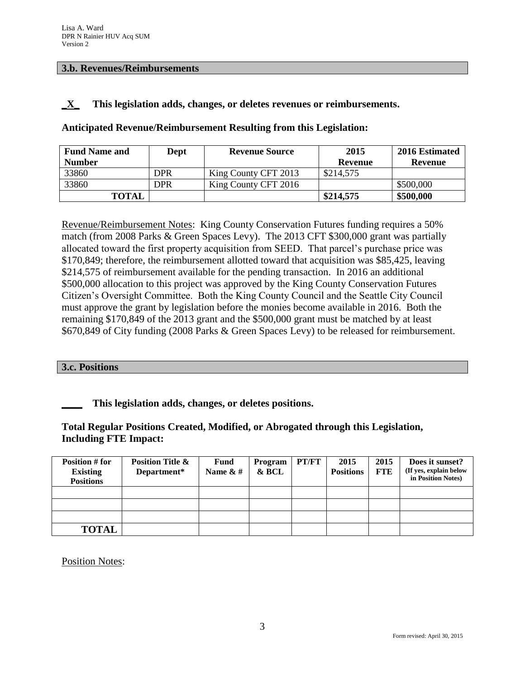#### **3.b. Revenues/Reimbursements**

### **\_X\_ This legislation adds, changes, or deletes revenues or reimbursements.**

**Anticipated Revenue/Reimbursement Resulting from this Legislation:**

| <b>Fund Name and</b> | Dept | <b>Revenue Source</b> | 2015      | 2016 Estimated |
|----------------------|------|-----------------------|-----------|----------------|
| <b>Number</b>        |      |                       | Revenue   | Revenue        |
| 33860                | DPR  | King County CFT 2013  | \$214,575 |                |
| 33860                | DPR  | King County CFT 2016  |           | \$500,000      |
| <b>TOTAL</b>         |      |                       | \$214,575 | \$500,000      |

Revenue/Reimbursement Notes: King County Conservation Futures funding requires a 50% match (from 2008 Parks & Green Spaces Levy). The 2013 CFT \$300,000 grant was partially allocated toward the first property acquisition from SEED. That parcel's purchase price was \$170,849; therefore, the reimbursement allotted toward that acquisition was \$85,425, leaving \$214,575 of reimbursement available for the pending transaction. In 2016 an additional \$500,000 allocation to this project was approved by the King County Conservation Futures Citizen's Oversight Committee. Both the King County Council and the Seattle City Council must approve the grant by legislation before the monies become available in 2016. Both the remaining \$170,849 of the 2013 grant and the \$500,000 grant must be matched by at least \$670,849 of City funding (2008 Parks & Green Spaces Levy) to be released for reimbursement.

#### **3.c. Positions**

## **\_\_\_\_ This legislation adds, changes, or deletes positions.**

## **Total Regular Positions Created, Modified, or Abrogated through this Legislation, Including FTE Impact:**

| Position # for<br><b>Existing</b><br><b>Positions</b> | <b>Position Title &amp;</b><br>Department* | <b>Fund</b><br>Name $\& \#$ | Program<br>& BCL | PT/FT | 2015<br><b>Positions</b> | 2015<br><b>FTE</b> | Does it sunset?<br>(If yes, explain below<br>in Position Notes) |
|-------------------------------------------------------|--------------------------------------------|-----------------------------|------------------|-------|--------------------------|--------------------|-----------------------------------------------------------------|
|                                                       |                                            |                             |                  |       |                          |                    |                                                                 |
|                                                       |                                            |                             |                  |       |                          |                    |                                                                 |
|                                                       |                                            |                             |                  |       |                          |                    |                                                                 |
| <b>TOTAL</b>                                          |                                            |                             |                  |       |                          |                    |                                                                 |

Position Notes: